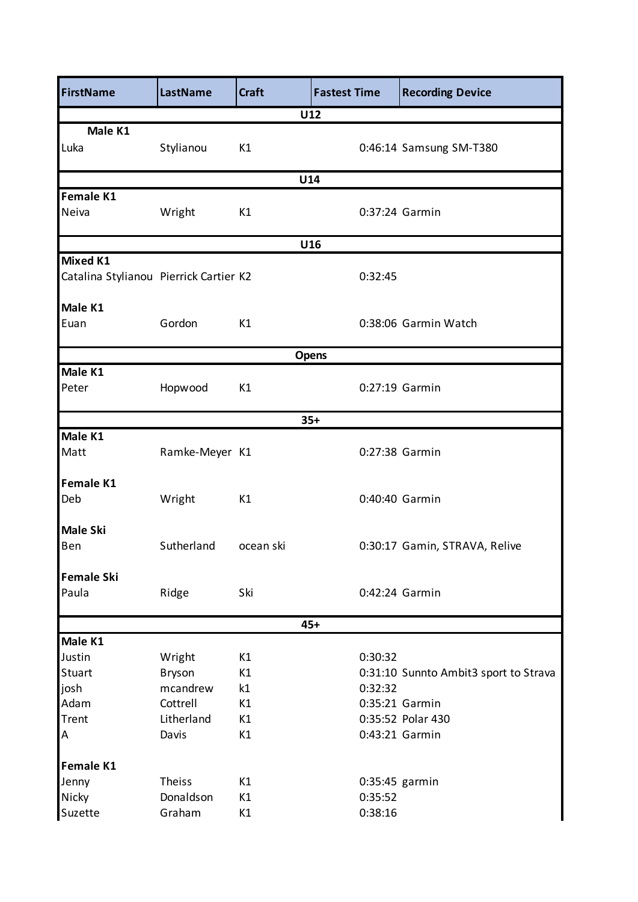| <b>FirstName</b>                       | LastName       | <b>Craft</b> | <b>Fastest Time</b> |         | <b>Recording Device</b>               |  |
|----------------------------------------|----------------|--------------|---------------------|---------|---------------------------------------|--|
|                                        |                |              | U12                 |         |                                       |  |
| Male K1                                |                |              |                     |         |                                       |  |
| Luka                                   | Stylianou      | K1           |                     |         | 0:46:14 Samsung SM-T380               |  |
|                                        |                |              | U14                 |         |                                       |  |
| Female K1                              |                |              |                     |         |                                       |  |
| Neiva                                  | Wright         | K1           |                     |         | 0:37:24 Garmin                        |  |
| U16                                    |                |              |                     |         |                                       |  |
| <b>Mixed K1</b>                        |                |              |                     |         |                                       |  |
| Catalina Stylianou Pierrick Cartier K2 |                |              |                     | 0:32:45 |                                       |  |
| Male K1                                |                |              |                     |         |                                       |  |
| Euan                                   | Gordon         | K1           |                     |         | 0:38:06 Garmin Watch                  |  |
|                                        |                |              | <b>Opens</b>        |         |                                       |  |
| Male K1                                |                |              |                     |         |                                       |  |
| Peter                                  | Hopwood        | K1           |                     |         | 0:27:19 Garmin                        |  |
|                                        |                |              | $35+$               |         |                                       |  |
| Male K1                                |                |              |                     |         |                                       |  |
| Matt                                   | Ramke-Meyer K1 |              |                     |         | 0:27:38 Garmin                        |  |
| <b>Female K1</b>                       |                |              |                     |         |                                       |  |
| Deb                                    | Wright         | K1           |                     |         | 0:40:40 Garmin                        |  |
| <b>Male Ski</b>                        |                |              |                     |         |                                       |  |
| Ben                                    | Sutherland     | ocean ski    |                     |         | 0:30:17 Gamin, STRAVA, Relive         |  |
| <b>Female Ski</b>                      |                |              |                     |         |                                       |  |
| Paula                                  | Ridge          | Ski          |                     |         | 0:42:24 Garmin                        |  |
|                                        |                |              | $45+$               |         |                                       |  |
| Male K1                                |                |              |                     |         |                                       |  |
| Justin                                 | Wright         | K1           |                     | 0:30:32 |                                       |  |
| Stuart                                 | <b>Bryson</b>  | K1           |                     |         | 0:31:10 Sunnto Ambit3 sport to Strava |  |
| josh                                   | mcandrew       | k1           |                     | 0:32:32 |                                       |  |
| Adam                                   | Cottrell       | K1           |                     |         | 0:35:21 Garmin                        |  |
| Trent                                  | Litherland     | K1           |                     |         | 0:35:52 Polar 430                     |  |
| A                                      | Davis          | K1           |                     |         | 0:43:21 Garmin                        |  |
| Female K1                              |                |              |                     |         |                                       |  |
| Jenny                                  | <b>Theiss</b>  | K1           |                     |         | 0:35:45 garmin                        |  |
| Nicky                                  | Donaldson      | K1           |                     | 0:35:52 |                                       |  |
| Suzette                                | Graham         | K1           |                     | 0:38:16 |                                       |  |